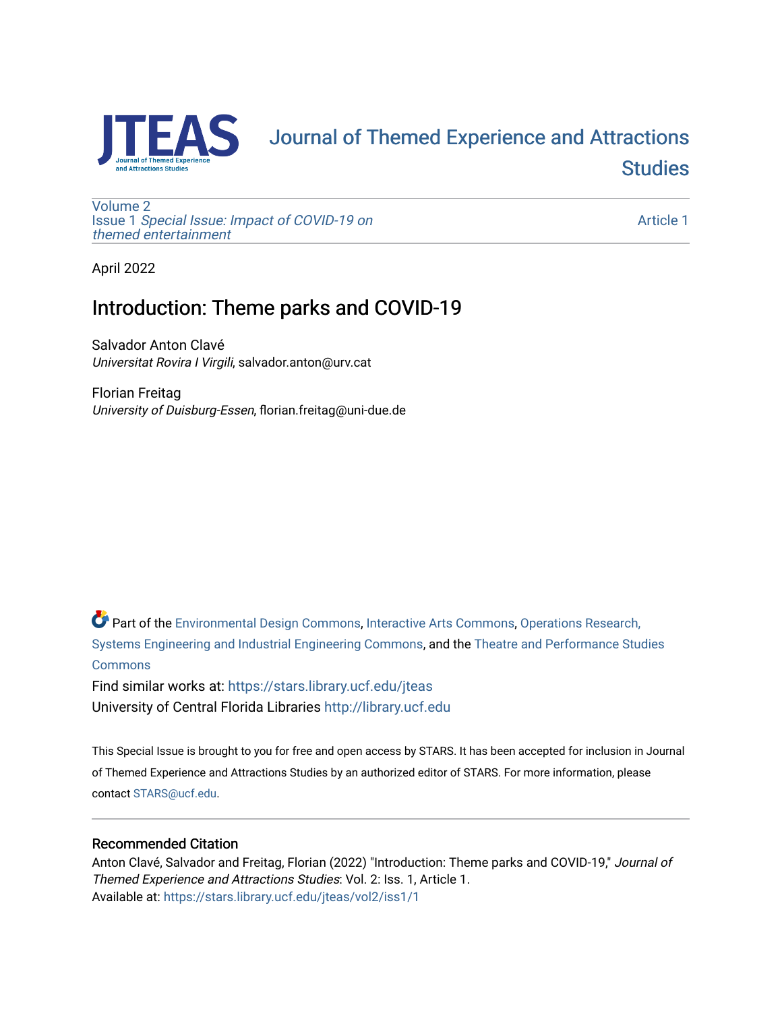

# [Journal of Themed Experience and Attractions](https://stars.library.ucf.edu/jteas)  **Studies**

[Volume 2](https://stars.library.ucf.edu/jteas/vol2) Issue 1 [Special Issue: Impact of COVID-19 on](https://stars.library.ucf.edu/jteas/vol2/iss1)  [themed entertainment](https://stars.library.ucf.edu/jteas/vol2/iss1) 

[Article 1](https://stars.library.ucf.edu/jteas/vol2/iss1/1) 

April 2022

### Introduction: Theme parks and COVID-19

Salvador Anton Clavé Universitat Rovira I Virgili, salvador.anton@urv.cat

Florian Freitag University of Duisburg-Essen, florian.freitag@uni-due.de

Part of the [Environmental Design Commons,](http://network.bepress.com/hgg/discipline/777?utm_source=stars.library.ucf.edu%2Fjteas%2Fvol2%2Fiss1%2F1&utm_medium=PDF&utm_campaign=PDFCoverPages) [Interactive Arts Commons](http://network.bepress.com/hgg/discipline/1136?utm_source=stars.library.ucf.edu%2Fjteas%2Fvol2%2Fiss1%2F1&utm_medium=PDF&utm_campaign=PDFCoverPages), [Operations Research,](http://network.bepress.com/hgg/discipline/305?utm_source=stars.library.ucf.edu%2Fjteas%2Fvol2%2Fiss1%2F1&utm_medium=PDF&utm_campaign=PDFCoverPages)  [Systems Engineering and Industrial Engineering Commons](http://network.bepress.com/hgg/discipline/305?utm_source=stars.library.ucf.edu%2Fjteas%2Fvol2%2Fiss1%2F1&utm_medium=PDF&utm_campaign=PDFCoverPages), and the [Theatre and Performance Studies](http://network.bepress.com/hgg/discipline/552?utm_source=stars.library.ucf.edu%2Fjteas%2Fvol2%2Fiss1%2F1&utm_medium=PDF&utm_campaign=PDFCoverPages)  [Commons](http://network.bepress.com/hgg/discipline/552?utm_source=stars.library.ucf.edu%2Fjteas%2Fvol2%2Fiss1%2F1&utm_medium=PDF&utm_campaign=PDFCoverPages)

Find similar works at: <https://stars.library.ucf.edu/jteas> University of Central Florida Libraries [http://library.ucf.edu](http://library.ucf.edu/) 

This Special Issue is brought to you for free and open access by STARS. It has been accepted for inclusion in Journal of Themed Experience and Attractions Studies by an authorized editor of STARS. For more information, please contact [STARS@ucf.edu.](mailto:STARS@ucf.edu)

### Recommended Citation

Anton Clavé, Salvador and Freitag, Florian (2022) "Introduction: Theme parks and COVID-19," Journal of Themed Experience and Attractions Studies: Vol. 2: Iss. 1, Article 1. Available at: [https://stars.library.ucf.edu/jteas/vol2/iss1/1](https://stars.library.ucf.edu/jteas/vol2/iss1/1?utm_source=stars.library.ucf.edu%2Fjteas%2Fvol2%2Fiss1%2F1&utm_medium=PDF&utm_campaign=PDFCoverPages)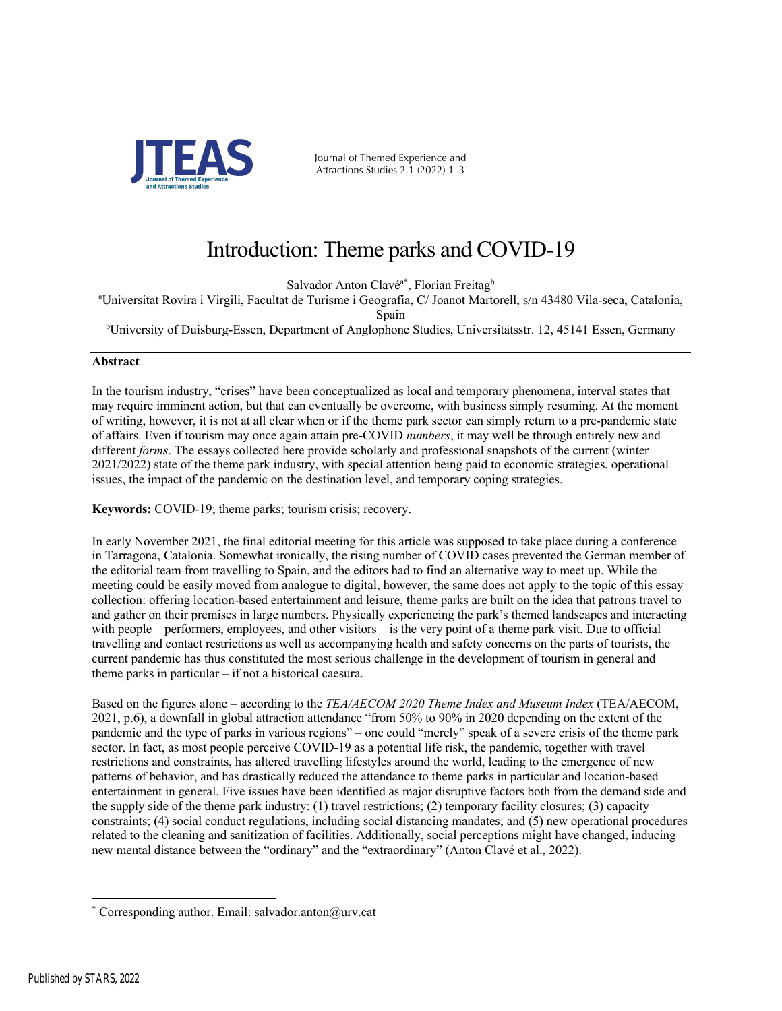

Journal of Themed Experience and Attractions Studies 2.1 (2022) 1–3

## Introduction: Theme parks and COVID-19

Salvador Anton Clavé<sup>a\*</sup>, Florian Freitag<sup>b</sup>

a Universitat Rovira i Virgili, Facultat de Turisme i Geografia, C/ Joanot Martorell, s/n 43480 Vila-seca, Catalonia, Spain

<sup>b</sup>University of Duisburg-Essen, Department of Anglophone Studies, Universitätsstr. 12, 45141 Essen, Germany

### **Abstract**

In the tourism industry, "crises" have been conceptualized as local and temporary phenomena, interval states that may require imminent action, but that can eventually be overcome, with business simply resuming. At the moment of writing, however, it is not at all clear when or if the theme park sector can simply return to a pre-pandemic state of affairs. Even if tourism may once again attain pre-COVID *numbers*, it may well be through entirely new and different *forms*. The essays collected here provide scholarly and professional snapshots of the current (winter 2021/2022) state of the theme park industry, with special attention being paid to economic strategies, operational issues, the impact of the pandemic on the destination level, and temporary coping strategies.

**Keywords:** COVID-19; theme parks; tourism crisis; recovery.

In early November 2021, the final editorial meeting for this article was supposed to take place during a conference in Tarragona, Catalonia. Somewhat ironically, the rising number of COVID cases prevented the German member of the editorial team from travelling to Spain, and the editors had to find an alternative way to meet up. While the meeting could be easily moved from analogue to digital, however, the same does not apply to the topic of this essay collection: offering location-based entertainment and leisure, theme parks are built on the idea that patrons travel to and gather on their premises in large numbers. Physically experiencing the park's themed landscapes and interacting with people – performers, employees, and other visitors – is the very point of a theme park visit. Due to official travelling and contact restrictions as well as accompanying health and safety concerns on the parts of tourists, the current pandemic has thus constituted the most serious challenge in the development of tourism in general and theme parks in particular – if not a historical caesura.

Based on the figures alone – according to the *TEA/AECOM 2020 Theme Index and Museum Index* (TEA/AECOM, 2021, p.6), a downfall in global attraction attendance "from 50% to 90% in 2020 depending on the extent of the pandemic and the type of parks in various regions" – one could "merely" speak of a severe crisis of the theme park sector. In fact, as most people perceive COVID-19 as a potential life risk, the pandemic, together with travel restrictions and constraints, has altered travelling lifestyles around the world, leading to the emergence of new patterns of behavior, and has drastically reduced the attendance to theme parks in particular and location-based entertainment in general. Five issues have been identified as major disruptive factors both from the demand side and the supply side of the theme park industry: (1) travel restrictions; (2) temporary facility closures; (3) capacity constraints; (4) social conduct regulations, including social distancing mandates; and (5) new operational procedures related to the cleaning and sanitization of facilities. Additionally, social perceptions might have changed, inducing new mental distance between the "ordinary" and the "extraordinary" (Anton Clavé et al., 2022).

Corresponding author. Email: salvador.anton@urv.cat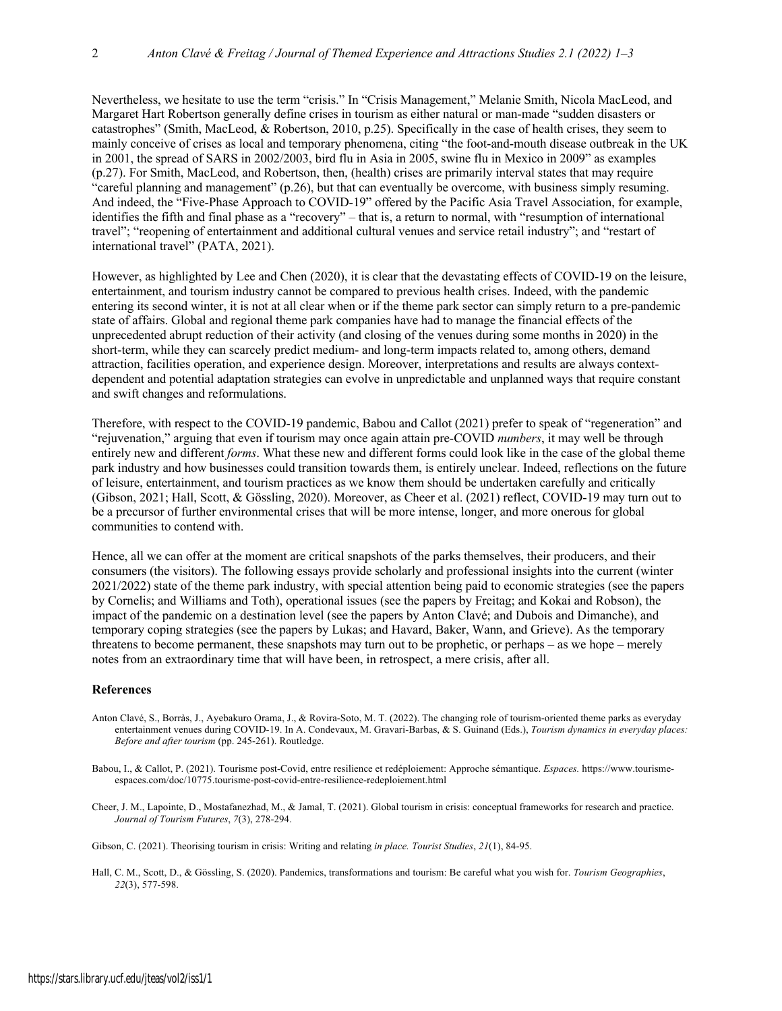Nevertheless, we hesitate to use the term "crisis." In "Crisis Management," Melanie Smith, Nicola MacLeod, and Margaret Hart Robertson generally define crises in tourism as either natural or man-made "sudden disasters or catastrophes" (Smith, MacLeod, & Robertson, 2010, p.25). Specifically in the case of health crises, they seem to mainly conceive of crises as local and temporary phenomena, citing "the foot-and-mouth disease outbreak in the UK in 2001, the spread of SARS in 2002/2003, bird flu in Asia in 2005, swine flu in Mexico in 2009" as examples (p.27). For Smith, MacLeod, and Robertson, then, (health) crises are primarily interval states that may require "careful planning and management" (p.26), but that can eventually be overcome, with business simply resuming. And indeed, the "Five-Phase Approach to COVID-19" offered by the Pacific Asia Travel Association, for example, identifies the fifth and final phase as a "recovery" – that is, a return to normal, with "resumption of international travel"; "reopening of entertainment and additional cultural venues and service retail industry"; and "restart of international travel" (PATA, 2021).

However, as highlighted by Lee and Chen (2020), it is clear that the devastating effects of COVID-19 on the leisure, entertainment, and tourism industry cannot be compared to previous health crises. Indeed, with the pandemic entering its second winter, it is not at all clear when or if the theme park sector can simply return to a pre-pandemic state of affairs. Global and regional theme park companies have had to manage the financial effects of the unprecedented abrupt reduction of their activity (and closing of the venues during some months in 2020) in the short-term, while they can scarcely predict medium- and long-term impacts related to, among others, demand attraction, facilities operation, and experience design. Moreover, interpretations and results are always contextdependent and potential adaptation strategies can evolve in unpredictable and unplanned ways that require constant and swift changes and reformulations.

Therefore, with respect to the COVID-19 pandemic, Babou and Callot (2021) prefer to speak of "regeneration" and "rejuvenation," arguing that even if tourism may once again attain pre-COVID *numbers*, it may well be through entirely new and different *forms*. What these new and different forms could look like in the case of the global theme park industry and how businesses could transition towards them, is entirely unclear. Indeed, reflections on the future of leisure, entertainment, and tourism practices as we know them should be undertaken carefully and critically (Gibson, 2021; Hall, Scott, & Gössling, 2020). Moreover, as Cheer et al. (2021) reflect, COVID-19 may turn out to be a precursor of further environmental crises that will be more intense, longer, and more onerous for global communities to contend with.

Hence, all we can offer at the moment are critical snapshots of the parks themselves, their producers, and their consumers (the visitors). The following essays provide scholarly and professional insights into the current (winter 2021/2022) state of the theme park industry, with special attention being paid to economic strategies (see the papers by Cornelis; and Williams and Toth), operational issues (see the papers by Freitag; and Kokai and Robson), the impact of the pandemic on a destination level (see the papers by Anton Clavé; and Dubois and Dimanche), and temporary coping strategies (see the papers by Lukas; and Havard, Baker, Wann, and Grieve). As the temporary threatens to become permanent, these snapshots may turn out to be prophetic, or perhaps – as we hope – merely notes from an extraordinary time that will have been, in retrospect, a mere crisis, after all.

#### **References**

- Anton Clavé, S., Borràs, J., Ayebakuro Orama, J., & Rovira-Soto, M. T. (2022). The changing role of tourism-oriented theme parks as everyday entertainment venues during COVID-19. In A. Condevaux, M. Gravari-Barbas, & S. Guinand (Eds.), *Tourism dynamics in everyday places: Before and after tourism* (pp. 245-261). Routledge.
- Babou, I., & Callot, P. (2021). Tourisme post-Covid, entre resilience et redéploiement: Approche sémantique. *Espaces.* https://www.tourismeespaces.com/doc/10775.tourisme-post-covid-entre-resilience-redeploiement.html
- Cheer, J. M., Lapointe, D., Mostafanezhad, M., & Jamal, T. (2021). Global tourism in crisis: conceptual frameworks for research and practice. *Journal of Tourism Futures*, *7*(3), 278-294.

Gibson, C. (2021). Theorising tourism in crisis: Writing and relating *in place. Tourist Studies*, *21*(1), 84-95.

Hall, C. M., Scott, D., & Gössling, S. (2020). Pandemics, transformations and tourism: Be careful what you wish for. *Tourism Geographies*, *22*(3), 577-598.